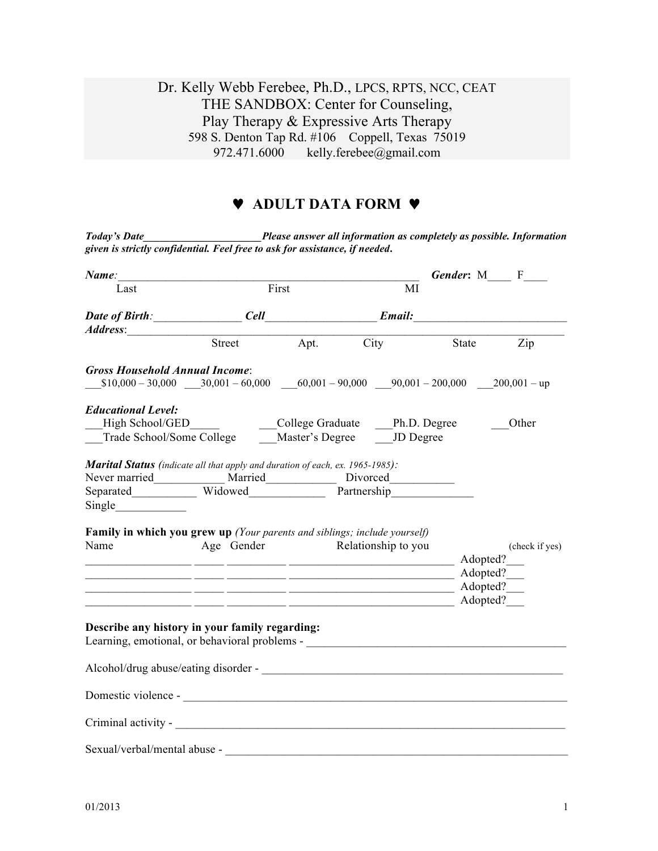## Dr. Kelly Webb Ferebee, Ph.D., LPCS, RPTS, NCC, CEAT THE SANDBOX: Center for Counseling, Play Therapy & Expressive Arts Therapy 598 S. Denton Tap Rd. #106 Coppell, Texas 75019<br>972.471.6000 kelly.ferebee@gmail.com kelly.ferebee@gmail.com

## ♥ **ADULT DATA FORM** ♥

| Name:                                                                                                                                                                                                                          |                                 |       |                                                                |    | <b>Gender:</b> M F |
|--------------------------------------------------------------------------------------------------------------------------------------------------------------------------------------------------------------------------------|---------------------------------|-------|----------------------------------------------------------------|----|--------------------|
| Last                                                                                                                                                                                                                           |                                 | First |                                                                | MI |                    |
|                                                                                                                                                                                                                                | Date of Birth: Cell Cell Email: |       |                                                                |    |                    |
| Address:                                                                                                                                                                                                                       |                                 |       |                                                                |    |                    |
|                                                                                                                                                                                                                                |                                 |       | Street Apt. City State Zip                                     |    |                    |
| <b>Gross Household Annual Income:</b>                                                                                                                                                                                          |                                 |       |                                                                |    |                    |
| $$10,000 - 30,000$ $$30,001 - 60,000$ $$60,001 - 90,000$ $$90,001 - 200,000$ $$200,001 - up$                                                                                                                                   |                                 |       |                                                                |    |                    |
| <b>Educational Level:</b>                                                                                                                                                                                                      |                                 |       |                                                                |    |                    |
|                                                                                                                                                                                                                                |                                 |       |                                                                |    | Other              |
| High School/GED<br>Trade School/Some College  College Graduate  Later's Degree  Later's Degree  Later's Degree  Later's Degree  Later's Degree  Later's Degree  Later's Degree  Later's Degree  Later's Degree  Later's Degree |                                 |       |                                                                |    |                    |
| Marital Status (indicate all that apply and duration of each, ex. 1965-1985):                                                                                                                                                  |                                 |       |                                                                |    |                    |
| Never married______________ Married_______________ Divorced___________                                                                                                                                                         |                                 |       |                                                                |    |                    |
| Separated Widowed Partnership                                                                                                                                                                                                  |                                 |       |                                                                |    |                    |
|                                                                                                                                                                                                                                |                                 |       |                                                                |    |                    |
| Single                                                                                                                                                                                                                         |                                 |       |                                                                |    |                    |
|                                                                                                                                                                                                                                |                                 |       |                                                                |    |                    |
|                                                                                                                                                                                                                                |                                 |       | Age Gender Relationship to you                                 |    | (check if yes)     |
|                                                                                                                                                                                                                                |                                 |       |                                                                |    | Adopted?           |
|                                                                                                                                                                                                                                |                                 |       |                                                                |    | Adopted?           |
| Family in which you grew up (Your parents and siblings; include yourself)<br>Name                                                                                                                                              |                                 |       | <u> 1990 - Jan James James, amerikansk politiker (d. 1980)</u> |    | Adopted?           |
|                                                                                                                                                                                                                                |                                 |       | <u> 1989 - John Amerikaanse kommunister († 1958)</u>           |    | Adopted?           |
|                                                                                                                                                                                                                                |                                 |       |                                                                |    |                    |
| Describe any history in your family regarding:<br>Learning, emotional, or behavioral problems - __________________________________                                                                                             |                                 |       |                                                                |    |                    |
|                                                                                                                                                                                                                                |                                 |       |                                                                |    |                    |
|                                                                                                                                                                                                                                |                                 |       |                                                                |    |                    |
| Domestic violence -                                                                                                                                                                                                            |                                 |       |                                                                |    |                    |

*Today's Date\_\_\_\_\_\_\_\_\_\_\_\_\_\_\_\_\_\_\_\_\_\_Please answer all information as completely as possible. Information*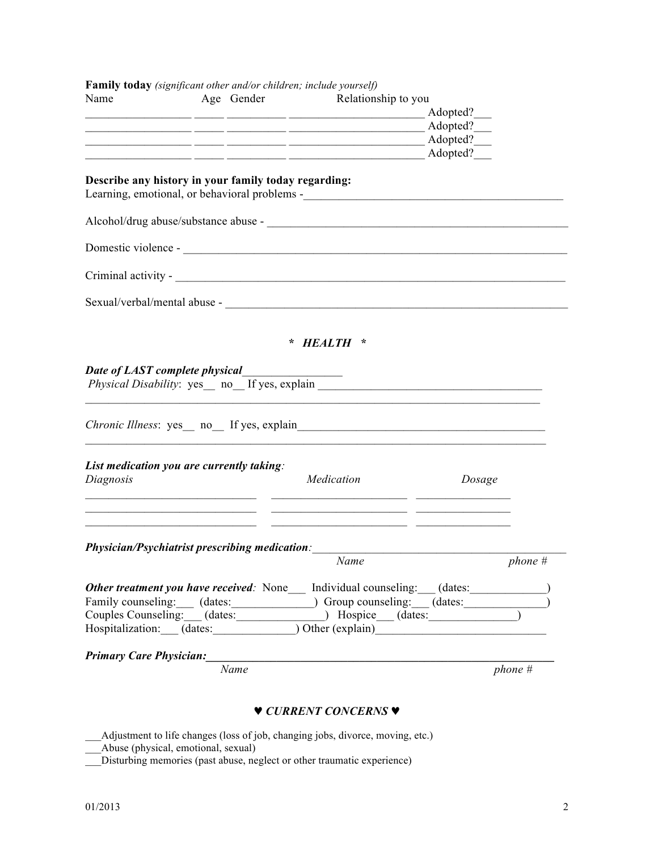| Name                                                   | Age Gender | Relationship to you                                                                                 |             |           |
|--------------------------------------------------------|------------|-----------------------------------------------------------------------------------------------------|-------------|-----------|
|                                                        |            |                                                                                                     | Adopted?    |           |
|                                                        |            |                                                                                                     | Adopted?    |           |
|                                                        |            |                                                                                                     | Adopted?___ |           |
|                                                        |            |                                                                                                     | Adopted?    |           |
| Describe any history in your family today regarding:   |            | Learning, emotional, or behavioral problems -___________________________________                    |             |           |
|                                                        |            |                                                                                                     |             |           |
|                                                        |            |                                                                                                     |             |           |
|                                                        |            |                                                                                                     |             |           |
|                                                        |            |                                                                                                     |             |           |
|                                                        |            |                                                                                                     |             |           |
|                                                        |            | HEALTH *                                                                                            |             |           |
|                                                        |            |                                                                                                     |             |           |
|                                                        |            | Physical Disability: yes_ no_ If yes, explain ___________________________________                   |             |           |
|                                                        |            |                                                                                                     |             |           |
|                                                        |            |                                                                                                     |             |           |
| List medication you are currently taking:<br>Diagnosis |            | Medication                                                                                          | Dosage      |           |
|                                                        |            |                                                                                                     |             |           |
|                                                        |            |                                                                                                     |             |           |
|                                                        |            |                                                                                                     |             |           |
|                                                        |            | <b>Physician/Psychiatrist prescribing medication:</b><br>Name                                       |             | $phone$ # |
|                                                        |            | <b>Other treatment you have received:</b> None Individual counseling: (dates:                       |             |           |
|                                                        |            |                                                                                                     |             |           |
|                                                        |            | Family counseling: (dates: (dates: ) Group counseling: (dates:                                      |             |           |
|                                                        |            | Couples Counseling: (dates: (dates: ) Hospice (dates:<br>Hospitalization: (dates: ) Other (explain) |             |           |
| <b>Primary Care Physician:</b>                         |            |                                                                                                     |             |           |

## ♥ *CURRENT CONCERNS* ♥

- \_\_\_Adjustment to life changes (loss of job, changing jobs, divorce, moving, etc.)
- \_\_\_Abuse (physical, emotional, sexual)
- \_\_\_Disturbing memories (past abuse, neglect or other traumatic experience)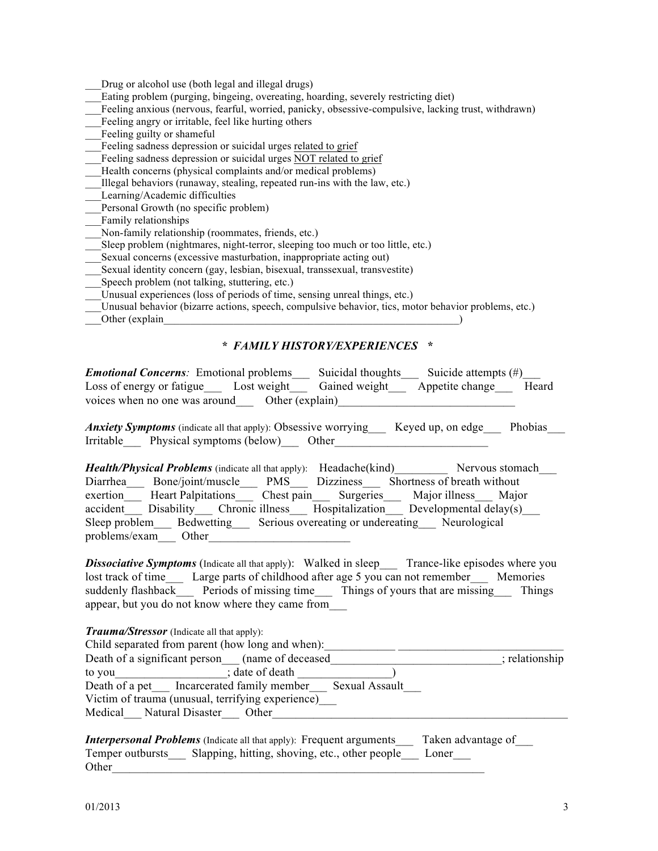Drug or alcohol use (both legal and illegal drugs)

- Eating problem (purging, bingeing, overeating, hoarding, severely restricting diet)
- Feeling anxious (nervous, fearful, worried, panicky, obsessive-compulsive, lacking trust, withdrawn)
- Feeling angry or irritable, feel like hurting others
- Feeling guilty or shameful
- Feeling sadness depression or suicidal urges related to grief
- Feeling sadness depression or suicidal urges NOT related to grief
- Health concerns (physical complaints and/or medical problems)
- \_\_\_Illegal behaviors (runaway, stealing, repeated run-ins with the law, etc.)
- \_\_\_Learning/Academic difficulties
- Personal Growth (no specific problem)
- Family relationships
- \_\_\_Non-family relationship (roommates, friends, etc.)
- Sleep problem (nightmares, night-terror, sleeping too much or too little, etc.)
- Sexual concerns (excessive masturbation, inappropriate acting out)
- \_\_\_Sexual identity concern (gay, lesbian, bisexual, transsexual, transvestite)
- Speech problem (not talking, stuttering, etc.)
- Unusual experiences (loss of periods of time, sensing unreal things, etc.)
- Unusual behavior (bizarre actions, speech, compulsive behavior, tics, motor behavior problems, etc.)
- Other (explain  $\Box$ )

## *\* FAMILY HISTORY/EXPERIENCES \**

| <b>Emotional Concerns:</b> Emotional problems    | Suicidal thoughts | Suicide attempts $(\#)$ |       |
|--------------------------------------------------|-------------------|-------------------------|-------|
| Loss of energy or fatigue<br>Lost weight         | Gained weight     | Appetite change         | Heard |
| voices when no one was around<br>Other (explain) |                   |                         |       |

*Anxiety Symptoms* (indicate all that apply): Obsessive worrying Keyed up, on edge Phobias Irritable Physical symptoms (below) Other

*Health/Physical Problems* (indicate all that apply): Headache(kind) Nervous stomach Diarrhea Bone/joint/muscle PMS Dizziness Shortness of breath without exertion Heart Palpitations Chest pain Surgeries Major illness Major accident Disability Chronic illness Hospitalization Developmental delay(s) Sleep problem Bedwetting Serious overeating or undereating Neurological problems/exam Other

*Dissociative Symptoms* (Indicate all that apply): Walked in sleep Trance-like episodes where you lost track of time Large parts of childhood after age 5 you can not remember Memories suddenly flashback Periods of missing time Things of yours that are missing Things appear, but you do not know where they came from\_\_\_

Child separated from parent (how long and when):<br>Death of a significant person (name of deceased \_\_\_\_\_\_\_\_\_\_\_\_\_\_\_\_\_\_\_\_\_\_\_\_\_\_\_\_\_\_\_; relationship Death of a significant person (name of deceased to you contain the state of death  $\ddot{\theta}$ : date of death Death of a pet Incarcerated family member Sexual Assault Victim of trauma (unusual, terrifying experience)\_\_\_ Medical Natural Disaster Other

| <b>Interpersonal Problems</b> (Indicate all that apply): Frequent arguments | Taken advantage of |
|-----------------------------------------------------------------------------|--------------------|
| Slapping, hitting, shoving, etc., other people Loner<br>Temper outbursts    |                    |
| Other                                                                       |                    |